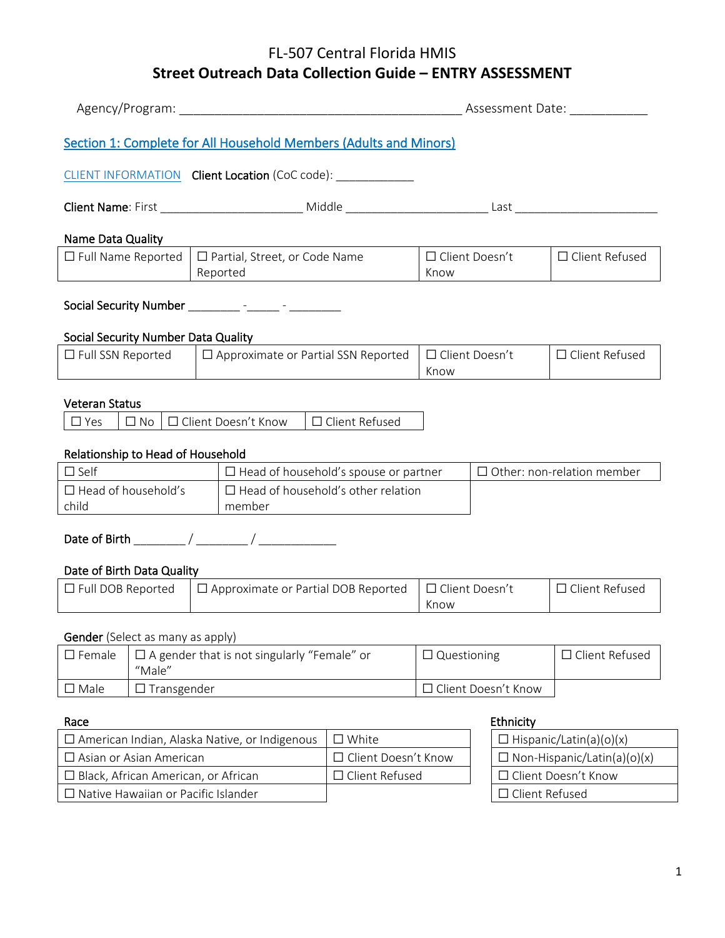|                                     |                    |  |                                                                   |                                                                   |                               |  |                       | Assessment Date:                   |
|-------------------------------------|--------------------|--|-------------------------------------------------------------------|-------------------------------------------------------------------|-------------------------------|--|-----------------------|------------------------------------|
|                                     |                    |  | Section 1: Complete for All Household Members (Adults and Minors) |                                                                   |                               |  |                       |                                    |
|                                     |                    |  | CLIENT INFORMATION Client Location (CoC code): ____________       |                                                                   |                               |  |                       |                                    |
|                                     |                    |  |                                                                   |                                                                   |                               |  |                       |                                    |
| Name Data Quality                   |                    |  |                                                                   |                                                                   |                               |  |                       |                                    |
| $\Box$ Full Name Reported           |                    |  | $\Box$ Partial, Street, or Code Name<br>Reported                  | <u> 1989 - Andrea Station Books, amerikansk politik (d. 1989)</u> | □ Client Doesn't<br>Know      |  |                       | □ Client Refused                   |
|                                     |                    |  |                                                                   |                                                                   |                               |  |                       |                                    |
| Social Security Number Data Quality |                    |  |                                                                   |                                                                   |                               |  |                       |                                    |
| $\Box$ Full SSN Reported            |                    |  | $\Box$ Approximate or Partial SSN Reported                        |                                                                   | $\Box$ Client Doesn't<br>Know |  |                       | □ Client Refused                   |
|                                     |                    |  |                                                                   |                                                                   |                               |  |                       |                                    |
| <b>Veteran Status</b><br>$\Box$ Yes | $\square$ No       |  | □ Client Doesn't Know                                             | □ Client Refused                                                  |                               |  |                       |                                    |
|                                     |                    |  |                                                                   |                                                                   |                               |  |                       |                                    |
| Relationship to Head of Household   |                    |  |                                                                   |                                                                   |                               |  |                       |                                    |
| $\Box$ Self                         |                    |  | $\Box$ Head of household's spouse or partner                      |                                                                   |                               |  |                       | $\Box$ Other: non-relation member  |
| $\Box$ Head of household's<br>child |                    |  | $\Box$ Head of household's other relation<br>member               |                                                                   |                               |  |                       |                                    |
|                                     |                    |  |                                                                   |                                                                   |                               |  |                       |                                    |
| Date of Birth Data Quality          |                    |  |                                                                   |                                                                   |                               |  |                       |                                    |
| $\Box$ Full DOB Reported            |                    |  | $\Box$ Approximate or Partial DOB Reported                        |                                                                   | □ Client Doesn't<br>Know      |  |                       | □ Client Refused                   |
| Gender (Select as many as apply)    |                    |  |                                                                   |                                                                   |                               |  |                       |                                    |
| $\square$ Female                    | "Male"             |  | $\square$ A gender that is not singularly "Female" or             |                                                                   | $\Box$ Questioning            |  |                       | □ Client Refused                   |
| $\square$ Male                      | $\Box$ Transgender |  |                                                                   |                                                                   |                               |  | □ Client Doesn't Know |                                    |
| Race                                |                    |  |                                                                   |                                                                   |                               |  | Ethnicity             |                                    |
|                                     |                    |  | □ American Indian, Alaska Native, or Indigenous                   | $\square$ White                                                   |                               |  |                       | $\Box$ Hispanic/Latin(a)(o)(x)     |
| $\Box$ Asian or Asian American      |                    |  |                                                                   | □ Client Doesn't Know                                             |                               |  |                       | $\Box$ Non-Hispanic/Latin(a)(o)(x) |

☐ Black, African American, or African ☐ Client Refused ☐ Client Doesn't Know

☐ Native Hawaiian or Pacific Islander ☐ Client Refused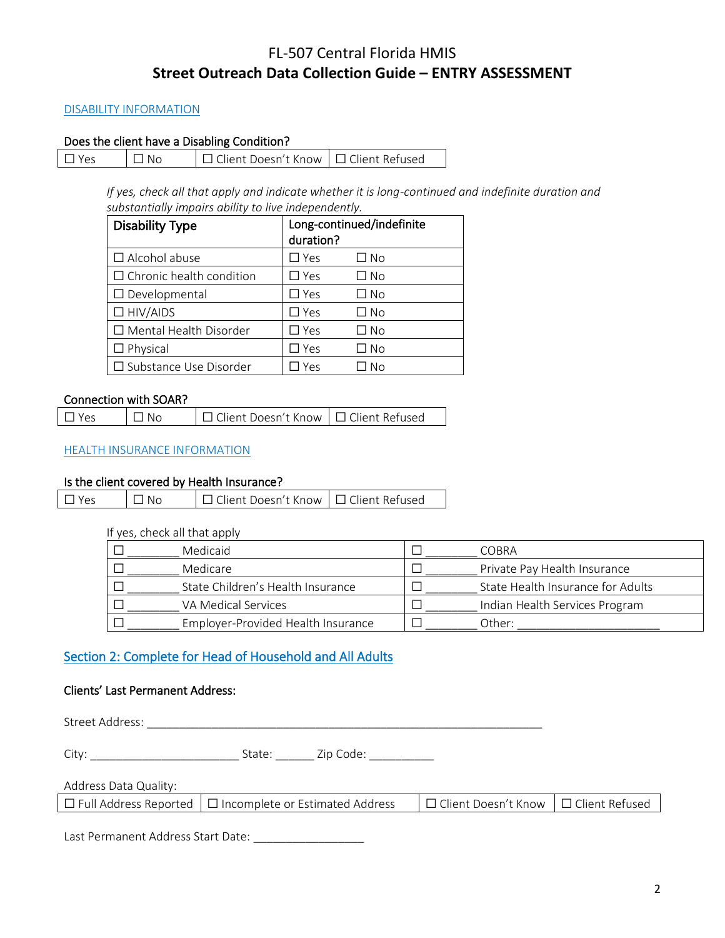#### DISABILITY INFORMATION

#### Does the client have a Disabling Condition?

| $\Box$ Yes | $\Box$ No | □ Client Doesn't Know   □ Client Refused |  |
|------------|-----------|------------------------------------------|--|
|            |           |                                          |  |

*If yes, check all that apply and indicate whether it is long-continued and indefinite duration and substantially impairs ability to live independently.*

| <b>Disability Type</b>          | duration?     | Long-continued/indefinite |
|---------------------------------|---------------|---------------------------|
| $\Box$ Alcohol abuse            | $\square$ Yes | □ No                      |
| $\Box$ Chronic health condition | $\Box$ Yes    | □ No                      |
| $\Box$ Developmental            | $\square$ Yes | ∩ No                      |
| $\Box$ HIV/AIDS                 | $\square$ Yes | □ No                      |
| $\Box$ Mental Health Disorder   | $\Box$ Yes    | □ No                      |
| $\Box$ Physical                 | $\Box$ Yes    | $\Box$ No                 |
| $\Box$ Substance Use Disorder   | Yes           | No                        |

# Connection with SOAR?

| $\square$ Yes | $\Box$ No | □ Client Doesn't Know   □ Client Refused |  |
|---------------|-----------|------------------------------------------|--|
|               |           |                                          |  |

# HEALTH INSURANCE INFORMATION

#### Is the client covered by Health Insurance?

| $\Box$ Yes | $\Box$ No | □ Client Doesn't Know   □ Client Refused |  |
|------------|-----------|------------------------------------------|--|
|------------|-----------|------------------------------------------|--|

If yes, check all that apply

| Medicaid                           | COBRA                             |
|------------------------------------|-----------------------------------|
| Medicare                           | Private Pay Health Insurance      |
| State Children's Health Insurance  | State Health Insurance for Adults |
| VA Medical Services                | Indian Health Services Program    |
| Employer-Provided Health Insurance | Other:                            |

# Section 2: Complete for Head of Household and All Adults

#### Clients' Last Permanent Address:

Street Address: \_\_\_\_\_\_\_\_\_\_\_\_\_\_\_\_\_\_\_\_\_\_\_\_\_\_\_\_\_\_\_\_\_\_\_\_\_\_\_\_\_\_\_\_\_\_\_\_\_\_\_\_\_\_\_\_\_\_\_\_\_

City: \_\_\_\_\_\_\_\_\_\_\_\_\_\_\_\_\_\_\_\_\_\_\_ State: \_\_\_\_\_\_ Zip Code: \_\_\_\_\_\_\_\_\_\_

# Address Data Quality:

|  |  | $\Box$ Full Address Reported $\Box$ Incomplete or Estimated Address | │ □ Client Doesn't Know │ □ Client Refused |  |
|--|--|---------------------------------------------------------------------|--------------------------------------------|--|
|--|--|---------------------------------------------------------------------|--------------------------------------------|--|

Last Permanent Address Start Date: \_\_\_\_\_\_\_\_\_\_\_\_\_\_\_\_\_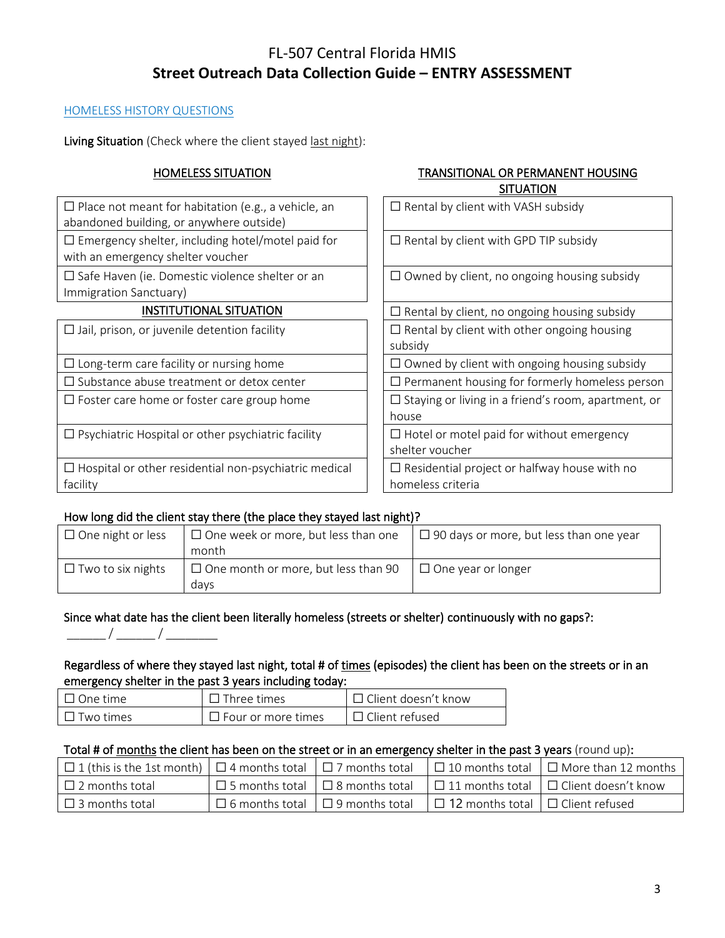# HOMELESS HISTORY QUESTIONS

Living Situation (Check where the client stayed last night):

# HOMELESS SITUATION TRANSITIONAL OR PERMANENT HOUSING SITUATION

| $\Box$ Place not meant for habitation (e.g., a vehicle, an<br>abandoned building, or anywhere outside) | $\Box$ Rental by client with VASH subsidy                                |
|--------------------------------------------------------------------------------------------------------|--------------------------------------------------------------------------|
| $\Box$ Emergency shelter, including hotel/motel paid for<br>with an emergency shelter voucher          | $\Box$ Rental by client with GPD TIP subsidy                             |
| $\Box$ Safe Haven (ie. Domestic violence shelter or an<br>Immigration Sanctuary)                       | $\Box$ Owned by client, no ongoing housing subsidy                       |
| <b>INSTITUTIONAL SITUATION</b>                                                                         | $\Box$ Rental by client, no ongoing housing subsidy                      |
| $\Box$ Jail, prison, or juvenile detention facility                                                    | $\Box$ Rental by client with other ongoing housing<br>subsidy            |
| $\Box$ Long-term care facility or nursing home                                                         | $\Box$ Owned by client with ongoing housing subsidy                      |
| $\Box$ Substance abuse treatment or detox center                                                       | $\Box$ Permanent housing for formerly homeless person                    |
| $\Box$ Foster care home or foster care group home                                                      | $\Box$ Staying or living in a friend's room, apartment, or<br>house      |
| $\Box$ Psychiatric Hospital or other psychiatric facility                                              | $\Box$ Hotel or motel paid for without emergency<br>shelter voucher      |
| $\Box$ Hospital or other residential non-psychiatric medical<br>facility                               | $\Box$ Residential project or halfway house with no<br>homeless criteria |
|                                                                                                        |                                                                          |

# How long did the client stay there (the place they stayed last night)?

| $\Box$ One night or less | $\Box$ One week or more, but less than one         | $\Box$ 90 days or more, but less than one year |
|--------------------------|----------------------------------------------------|------------------------------------------------|
|                          | month                                              |                                                |
| $\Box$ Two to six nights | $\Box$ One month or more, but less than 90<br>davs | $\Box$ One year or longer                      |

# Since what date has the client been literally homeless (streets or shelter) continuously with no gaps?:

 $\frac{\frac{1}{2} - \frac{1}{2} \frac{1}{2} \frac{1}{2} \frac{1}{2} \frac{1}{2} \frac{1}{2} \frac{1}{2} \frac{1}{2} \frac{1}{2} \frac{1}{2} \frac{1}{2} \frac{1}{2} \frac{1}{2} \frac{1}{2} \frac{1}{2} \frac{1}{2} \frac{1}{2} \frac{1}{2} \frac{1}{2} \frac{1}{2} \frac{1}{2} \frac{1}{2} \frac{1}{2} \frac{1}{2} \frac{1}{2} \frac{1}{2} \frac{1}{2} \frac{1}{2} \frac{1}{2} \frac{1}{2}$ 

# Regardless of where they stayed last night, total # of times (episodes) the client has been on the streets or in an emergency shelter in the past 3 years including today:

| $\mathsf I\ \mathsf \Pi$ One time | $\Box$ Three times        | ∣□ Client doesn't know |
|-----------------------------------|---------------------------|------------------------|
| $\mathsf I$ Two times             | $\Box$ Four or more times | $\Box$ Client refused  |

# Total # of months the client has been on the street or in an emergency shelter in the past 3 years (round up):

| $\Box$ 1 (this is the 1st month) $\Box$ 4 months total $\Box$ 7 months total |                                             |                                              | $\Box$ 10 months total $\Box$ More than 12 months $\Box$                        |
|------------------------------------------------------------------------------|---------------------------------------------|----------------------------------------------|---------------------------------------------------------------------------------|
| $\Box$ 2 months total                                                        |                                             |                                              | □ 5 months total   □ 8 months total   □ 11 months total   □ Client doesn't know |
| $\Box$ 3 months total                                                        | $\Box$ 6 months total $\Box$ 9 months total | $\Box$ 12 months total $\Box$ Client refused |                                                                                 |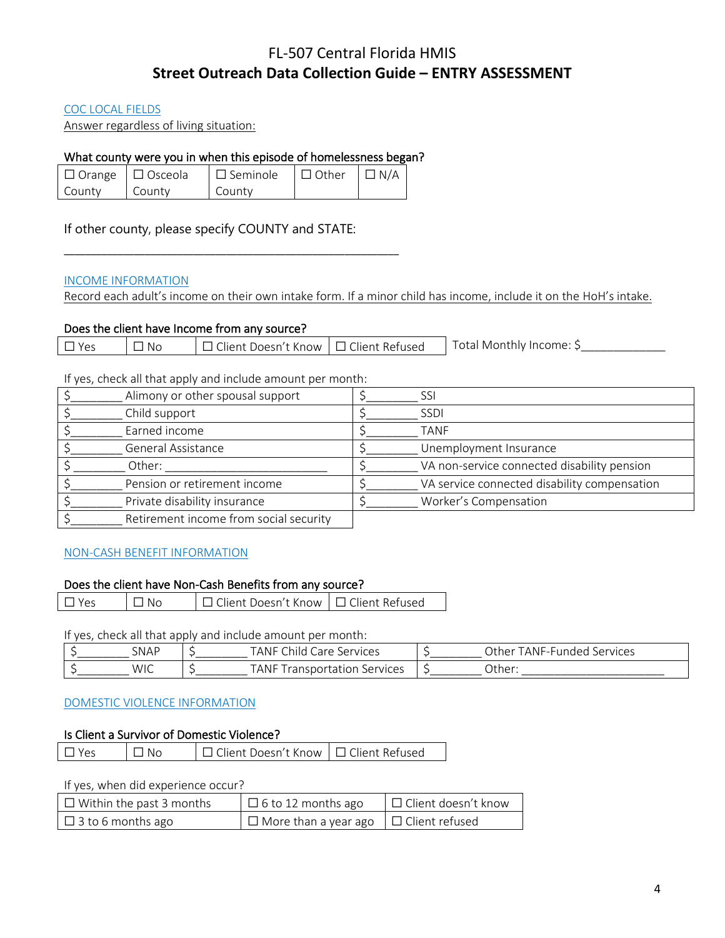# COC LOCAL FIELDS

Answer regardless of living situation:

# What county were you in when this episode of homelessness began?

|        | $\Box$ Orange $\Box$ Osceola | $\Box$ Seminole | $\Box$ Other $\Box$ N/A |  |
|--------|------------------------------|-----------------|-------------------------|--|
| County | County                       | County          |                         |  |

\_\_\_\_\_\_\_\_\_\_\_\_\_\_\_\_\_\_\_\_\_\_\_\_\_\_\_\_\_\_\_\_\_\_\_\_\_\_\_\_\_\_\_\_\_\_\_\_\_\_\_\_\_\_\_\_\_\_\_\_\_\_

If other county, please specify COUNTY and STATE:

# INCOME INFORMATION

Record each adult's income on their own intake form. If a minor child has income, include it on the HoH's intake.

# Does the client have Income from any source?

| Total Monthly Income: S<br>t Doesn't Know ∣□ Client Refused<br>$\sim$ $\cdot$<br>llent :<br>-No |  |
|-------------------------------------------------------------------------------------------------|--|
|-------------------------------------------------------------------------------------------------|--|

If yes, check all that apply and include amount per month:

| Alimony or other spousal support       | SSI                                          |
|----------------------------------------|----------------------------------------------|
| Child support                          | <b>SSDI</b>                                  |
| Earned income                          | <b>TANF</b>                                  |
| General Assistance                     | Unemployment Insurance                       |
| Other:                                 | VA non-service connected disability pension  |
| Pension or retirement income           | VA service connected disability compensation |
| Private disability insurance           | Worker's Compensation                        |
| Retirement income from social security |                                              |

# NON-CASH BENEFIT INFORMATION

# Does the client have Non-Cash Benefits from any source?

| $\Box$ Yes<br>│ □ Client Doesn't Know │ □ Client Refused<br>$\Box$ No |
|-----------------------------------------------------------------------|
|-----------------------------------------------------------------------|

If yes, check all that apply and include amount per month:

| <b>SNAP</b> | $\sim$<br><b>TANF</b><br>hila.<br>are a<br>Services | . ANF<br>2ther<br>Services<br>.<br>under<br>. |
|-------------|-----------------------------------------------------|-----------------------------------------------|
| <b>WIC</b>  | <b>TANF</b><br>ransporta<br>Services<br>cation      | Jther                                         |

# DOMESTIC VIOLENCE INFORMATION

#### Is Client a Survivor of Domestic Violence?

| $\Box$ Yes | $\Box$ No | □ Client Doesn't Know □ □ Client Refused |  |
|------------|-----------|------------------------------------------|--|
|------------|-----------|------------------------------------------|--|

If yes, when did experience occur?

| $\Box$ Within the past 3 months | $\Box$ 6 to 12 months ago                         | $\Box$ Client doesn't know |
|---------------------------------|---------------------------------------------------|----------------------------|
| $\Box$ 3 to 6 months ago        | $\Box$ More than a year ago $\Box$ Client refused |                            |